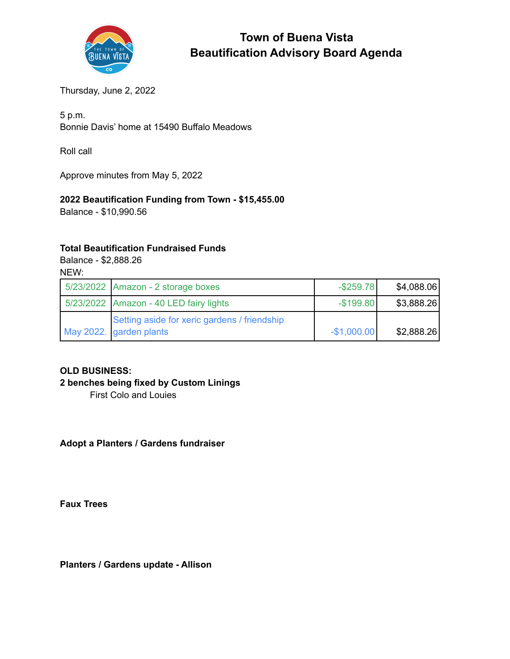

# **Town of Buena Vista Beautification Advisory Board Agenda**

Thursday, June 2, 2022

5 p.m. Bonnie Davis' home at 15490 Buffalo Meadows

Roll call

Approve minutes from May 5, 2022

## **2022 Beautification Funding from Town - \$15,455.00**

Balance - \$10,990.56

#### **Total Beautification Fundraised Funds**

Balance - \$2,888.26 NEW:

| 5/23/2022 Amazon - 2 storage boxes           | $-$ \$259.78 | \$4,088.06 |
|----------------------------------------------|--------------|------------|
| 5/23/2022 Amazon - 40 LED fairy lights       | $-$199.80$   | \$3,888.26 |
| Setting aside for xeric gardens / friendship |              |            |
| May 2022. garden plants                      | $-$1,000.00$ | \$2,888.26 |

## **OLD BUSINESS:**

## **2 benches being fixed by Custom Linings**

First Colo and Louies

**Adopt a Planters / Gardens fundraiser**

**Faux Trees**

**Planters / Gardens update - Allison**